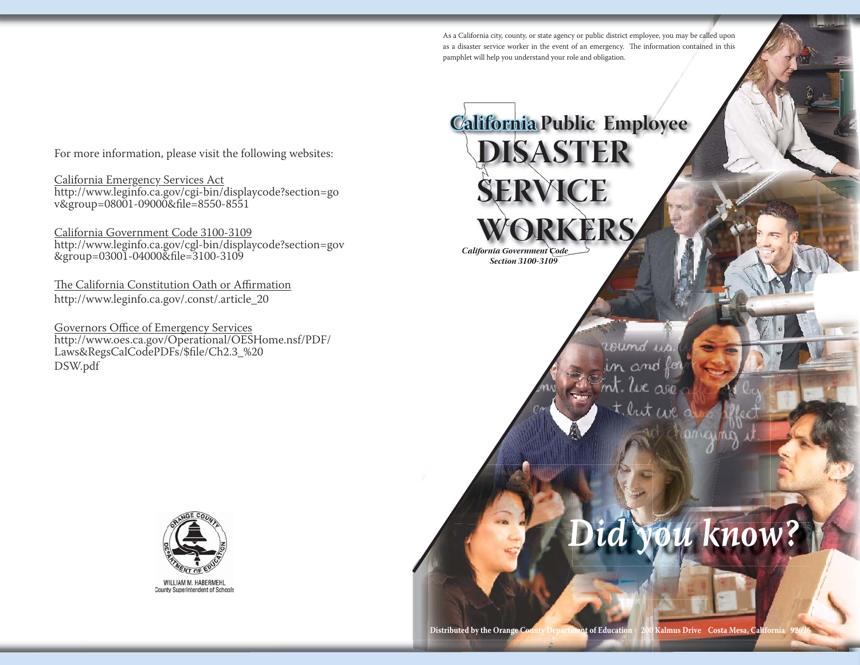As a California city, county, or state agency or public district employee, you may be called upon as a disaster service worker in the event of an emergency. The information contained in this pamphlet will help you understand your role and obligation.

**WORKERS**

**DISASTER**

**California Public Employee alifornia** 

**SERVICE**

For more information, please visit the following websites:

California Emergency Services Act<br>http://www.leginfo.ca.gov/cgi-bin/displaycode?section=go v&group=08001-09000&file=8550-8551

California Government Code 3100-3109 http://www.leginfo.ca.gov/cgl-bin/displaycode?section=gov &group=03001-04000&file=3100-3109

The California Constitution Oath or Affirmation http://www.leginfo.ca.gov/.const/.article\_20

Governors Office of Emergency Services http://www.oes.ca.gov/Operational/OESHome.nsf/PDF/ Laws&RegsCalCodePDFs/\$file/Ch2.3\_%20 DSW.pdf



Distributed by the Orange County Department of Education 200 Kalmus Drive Costa Mesa, Californ

*California Government Code Section 3100-3109*

*Did you know?*